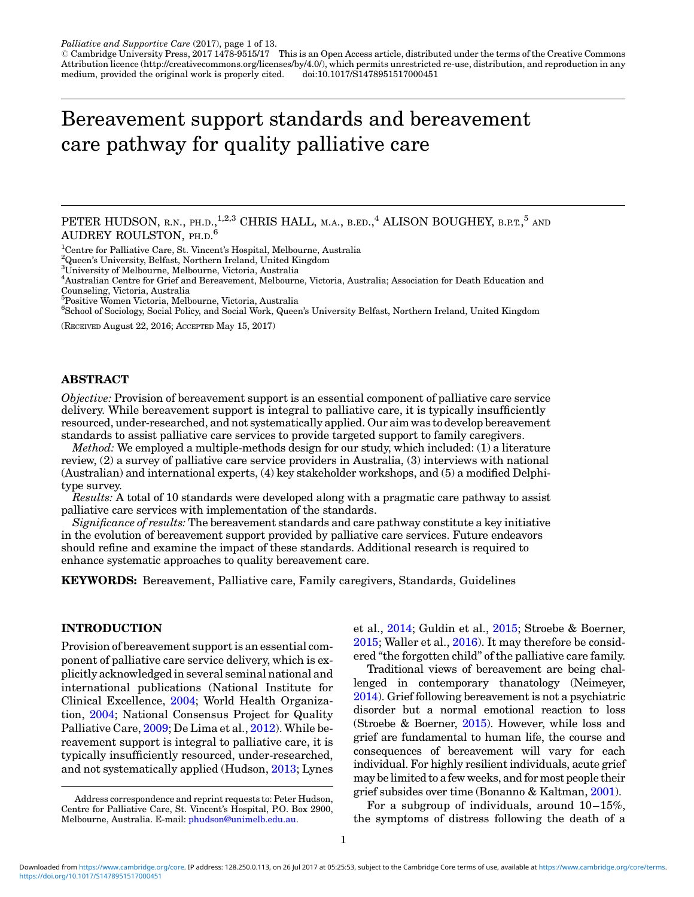#### Palliative and Supportive Care (2017), page 1 of 13.

© Cambridge University Press, 2017 1478-9515/17 This is an Open Access article, distributed under the terms of the Creative Commons Attribution licence (http://creativecommons.org/licenses/by/4.0/), which permits unrestricted re-use, distribution, and reproduction in any medium, provided the original work is properly cited. doi:10.1017/S147895151700045 medium, provided the original work is properly cited.

# Bereavement support standards and bereavement care pathway for quality palliative care

PETER HUDSON, R.N., PH.D.,  $^{1,2,3}$  CHRIS HALL, M.A., B.ED.,  $^4$  ALISON BOUGHEY, B.P.T.,  $^5$  and AUDREY ROULSTON, PH.D.<sup>6</sup>

<sup>1</sup>Centre for Palliative Care, St. Vincent's Hospital, Melbourne, Australia

<sup>2</sup>Queen's University, Belfast, Northern Ireland, United Kingdom

 $^3$ University of Melbourne, Melbourne, Victoria, Australia

4 Australian Centre for Grief and Bereavement, Melbourne, Victoria, Australia; Association for Death Education and Counseling, Victoria, Australia

5 Positive Women Victoria, Melbourne, Victoria, Australia

6 School of Sociology, Social Policy, and Social Work, Queen's University Belfast, Northern Ireland, United Kingdom

(RECEIVED August 22, 2016; ACCEPTED May 15, 2017)

## ABSTRACT

Objective: Provision of bereavement support is an essential component of palliative care service delivery. While bereavement support is integral to palliative care, it is typically insufficiently resourced, under-researched, and not systematically applied. Our aim was to develop bereavement standards to assist palliative care services to provide targeted support to family caregivers.

Method: We employed a multiple-methods design for our study, which included: (1) a literature review, (2) a survey of palliative care service providers in Australia, (3) interviews with national (Australian) and international experts, (4) key stakeholder workshops, and (5) a modified Delphitype survey.

Results: A total of 10 standards were developed along with a pragmatic care pathway to assist palliative care services with implementation of the standards.

Significance of results: The bereavement standards and care pathway constitute a key initiative in the evolution of bereavement support provided by palliative care services. Future endeavors should refine and examine the impact of these standards. Additional research is required to enhance systematic approaches to quality bereavement care.

KEYWORDS: Bereavement, Palliative care, Family caregivers, Standards, Guidelines

## INTRODUCTION

Provision of bereavement support is an essential component of palliative care service delivery, which is explicitly acknowledged in several seminal national and international publications (National Institute for Clinical Excellence, [2004;](#page-11-0) World Health Organization, [2004](#page-12-0); National Consensus Project for Quality Palliative Care, [2009;](#page-11-0) De Lima et al., [2012](#page-11-0)). While bereavement support is integral to palliative care, it is typically insufficiently resourced, under-researched, and not systematically applied (Hudson, [2013;](#page-11-0) Lynes et al., [2014;](#page-11-0) Guldin et al., [2015;](#page-11-0) Stroebe & Boerner, [2015](#page-12-0); Waller et al., [2016\)](#page-12-0). It may therefore be considered "the forgotten child" of the palliative care family.

Traditional views of bereavement are being challenged in contemporary thanatology (Neimeyer, [2014\)](#page-11-0). Grief following bereavement is not a psychiatric disorder but a normal emotional reaction to loss (Stroebe & Boerner, [2015\)](#page-12-0). However, while loss and grief are fundamental to human life, the course and consequences of bereavement will vary for each individual. For highly resilient individuals, acute grief may be limited to afew weeks, and for most people their grief subsides over time (Bonanno & Kaltman, [2001\)](#page-10-0).

For a subgroup of individuals, around  $10-15\%$ , the symptoms of distress following the death of a

Address correspondence and reprint requests to: Peter Hudson, Centre for Palliative Care, St. Vincent's Hospital, P.O. Box 2900, Melbourne, Australia. E-mail: [phudson@unimelb.edu.au](mailto:phudson@unimelb.edu.au).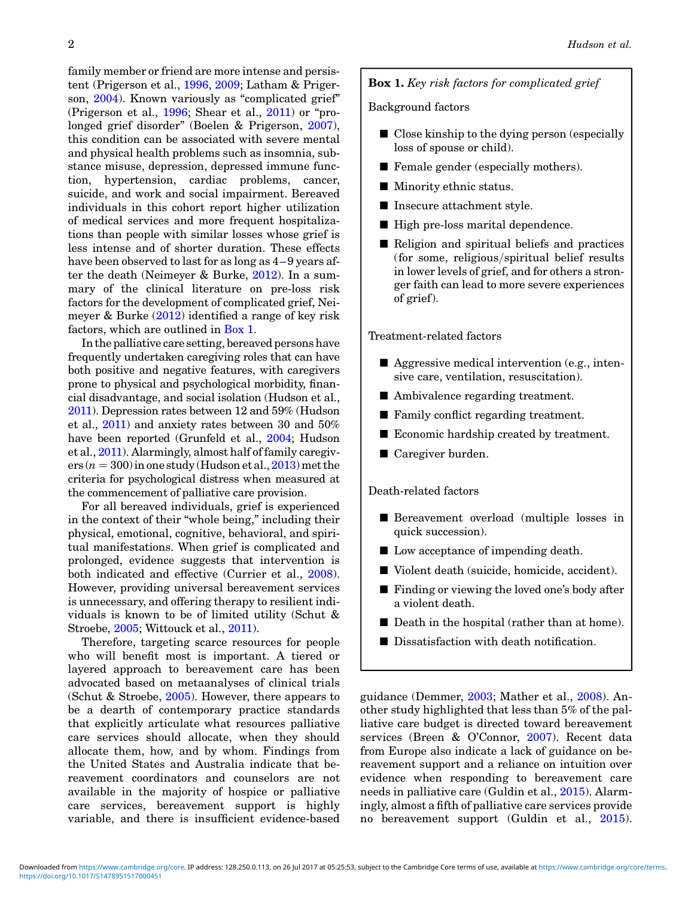family member or friend are more intense and persistent (Prigerson et al., [1996](#page-11-0), [2009;](#page-11-0) Latham & Prigerson, [2004\)](#page-11-0). Known variously as "complicated grief" (Prigerson et al., [1996;](#page-11-0) Shear et al., [2011\)](#page-12-0) or "prolonged grief disorder" (Boelen & Prigerson, [2007\)](#page-10-0), this condition can be associated with severe mental and physical health problems such as insomnia, substance misuse, depression, depressed immune function, hypertension, cardiac problems, cancer, suicide, and work and social impairment. Bereaved individuals in this cohort report higher utilization of medical services and more frequent hospitalizations than people with similar losses whose grief is less intense and of shorter duration. These effects have been observed to last for as long as 4–9 years after the death (Neimeyer & Burke, [2012\)](#page-11-0). In a summary of the clinical literature on pre-loss risk factors for the development of complicated grief, Neimeyer & Burke ([2012\)](#page-11-0) identified a range of key risk factors, which are outlined in Box 1.

In the palliative care setting, bereaved persons have frequently undertaken caregiving roles that can have both positive and negative features, with caregivers prone to physical and psychological morbidity, financial disadvantage, and social isolation (Hudson et al., [2011](#page-11-0)). Depression rates between 12 and 59% (Hudson et al., [2011\)](#page-11-0) and anxiety rates between 30 and 50% have been reported (Grunfeld et al., [2004](#page-11-0); Hudson et al., [2011\)](#page-11-0). Alarmingly, almost half of family caregiv $ers (n = 300)$  in one study (Hudson et al., [2013](#page-11-0)) met the criteria for psychological distress when measured at the commencement of palliative care provision.

For all bereaved individuals, grief is experienced in the context of their "whole being," including their physical, emotional, cognitive, behavioral, and spiritual manifestations. When grief is complicated and prolonged, evidence suggests that intervention is both indicated and effective (Currier et al., [2008\)](#page-11-0). However, providing universal bereavement services is unnecessary, and offering therapy to resilient individuals is known to be of limited utility (Schut & Stroebe, [2005;](#page-12-0) Wittouck et al., [2011\)](#page-12-0).

Therefore, targeting scarce resources for people who will benefit most is important. A tiered or layered approach to bereavement care has been advocated based on metaanalyses of clinical trials (Schut & Stroebe, [2005](#page-12-0)). However, there appears to be a dearth of contemporary practice standards that explicitly articulate what resources palliative care services should allocate, when they should allocate them, how, and by whom. Findings from the United States and Australia indicate that bereavement coordinators and counselors are not available in the majority of hospice or palliative care services, bereavement support is highly variable, and there is insufficient evidence-based

Box 1. Key risk factors for complicated grief

#### Background factors

- $\blacksquare$  Close kinship to the dying person (especially loss of spouse or child).
- **B** Female gender (especially mothers).
- **B** Minority ethnic status.
- **B** Insecure attachment style.
- **B** High pre-loss marital dependence.
- Religion and spiritual beliefs and practices (for some, religious/spiritual belief results in lower levels of grief, and for others a stronger faith can lead to more severe experiences of grief).

Treatment-related factors

- $\blacksquare$  Aggressive medical intervention (e.g., intensive care, ventilation, resuscitation).
- Ambivalence regarding treatment.
- **B** Family conflict regarding treatment.
- Economic hardship created by treatment.
- Caregiver burden.

## Death-related factors

- Bereavement overload (multiple losses in quick succession).
- **B** Low acceptance of impending death.
- Violent death (suicide, homicide, accident).
- Finding or viewing the loved one's body after a violent death.
- Death in the hospital (rather than at home).
- **B** Dissatisfaction with death notification.

guidance (Demmer, [2003;](#page-11-0) Mather et al., [2008\)](#page-11-0). Another study highlighted that less than 5% of the palliative care budget is directed toward bereavement services (Breen & O'Connor, [2007](#page-10-0)). Recent data from Europe also indicate a lack of guidance on bereavement support and a reliance on intuition over evidence when responding to bereavement care needs in palliative care (Guldin et al., [2015](#page-11-0)). Alarmingly, almost a fifth of palliative care services provide no bereavement support (Guldin et al., [2015\)](#page-11-0).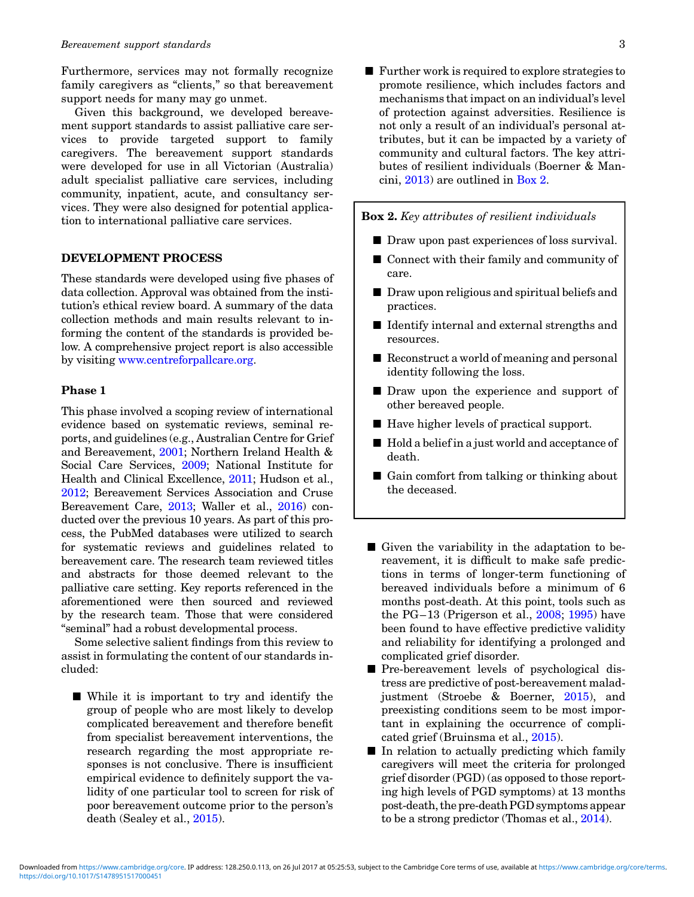Furthermore, services may not formally recognize family caregivers as "clients," so that bereavement support needs for many may go unmet.

Given this background, we developed bereavement support standards to assist palliative care services to provide targeted support to family caregivers. The bereavement support standards were developed for use in all Victorian (Australia) adult specialist palliative care services, including community, inpatient, acute, and consultancy services. They were also designed for potential application to international palliative care services.

## DEVELOPMENT PROCESS

These standards were developed using five phases of data collection. Approval was obtained from the institution's ethical review board. A summary of the data collection methods and main results relevant to informing the content of the standards is provided below. A comprehensive project report is also accessible by visiting [www.centreforpallcare.org.](http://www.centreforpallcare.org)

#### Phase 1

This phase involved a scoping review of international evidence based on systematic reviews, seminal reports, and guidelines (e.g., Australian Centre for Grief and Bereavement, [2001](#page-10-0); Northern Ireland Health & Social Care Services, [2009](#page-11-0); National Institute for Health and Clinical Excellence, [2011](#page-11-0); Hudson et al., [2012;](#page-11-0) Bereavement Services Association and Cruse Bereavement Care, [2013](#page-10-0); Waller et al., [2016\)](#page-12-0) conducted over the previous 10 years. As part of this process, the PubMed databases were utilized to search for systematic reviews and guidelines related to bereavement care. The research team reviewed titles and abstracts for those deemed relevant to the palliative care setting. Key reports referenced in the aforementioned were then sourced and reviewed by the research team. Those that were considered "seminal" had a robust developmental process.

Some selective salient findings from this review to assist in formulating the content of our standards included:

 $\blacksquare$  While it is important to try and identify the group of people who are most likely to develop complicated bereavement and therefore benefit from specialist bereavement interventions, the research regarding the most appropriate responses is not conclusive. There is insufficient empirical evidence to definitely support the validity of one particular tool to screen for risk of poor bereavement outcome prior to the person's death (Sealey et al., [2015](#page-12-0)).

 $\blacksquare$  Further work is required to explore strategies to promote resilience, which includes factors and mechanisms that impact on an individual's level of protection against adversities. Resilience is not only a result of an individual's personal attributes, but it can be impacted by a variety of community and cultural factors. The key attributes of resilient individuals (Boerner & Mancini, [2013](#page-10-0)) are outlined in Box 2.

Box 2. Key attributes of resilient individuals

- Draw upon past experiences of loss survival.
- Connect with their family and community of care.
- **Draw upon religious and spiritual beliefs and** practices.
- $\blacksquare$  Identify internal and external strengths and resources.
- $\blacksquare$  Reconstruct a world of meaning and personal identity following the loss.
- **Draw upon the experience and support of** other bereaved people.
- Have higher levels of practical support.
- $\blacksquare$  Hold a belief in a just world and acceptance of death.
- Gain comfort from talking or thinking about the deceased.
- Given the variability in the adaptation to bereavement, it is difficult to make safe predictions in terms of longer-term functioning of bereaved individuals before a minimum of 6 months post-death. At this point, tools such as the  $PG-13$  (Prigerson et al.,  $2008$ ;  $1995$ ) have been found to have effective predictive validity and reliability for identifying a prolonged and complicated grief disorder.
- **Pre-bereavement levels of psychological dis**tress are predictive of post-bereavement maladjustment (Stroebe & Boerner, [2015\)](#page-12-0), and preexisting conditions seem to be most important in explaining the occurrence of complicated grief (Bruinsma et al., [2015](#page-10-0)).
- In relation to actually predicting which family caregivers will meet the criteria for prolonged grief disorder (PGD) (as opposed to those reporting high levels of PGD symptoms) at 13 months post-death, the pre-death PGD symptoms appear to be a strong predictor (Thomas et al., [2014](#page-12-0)).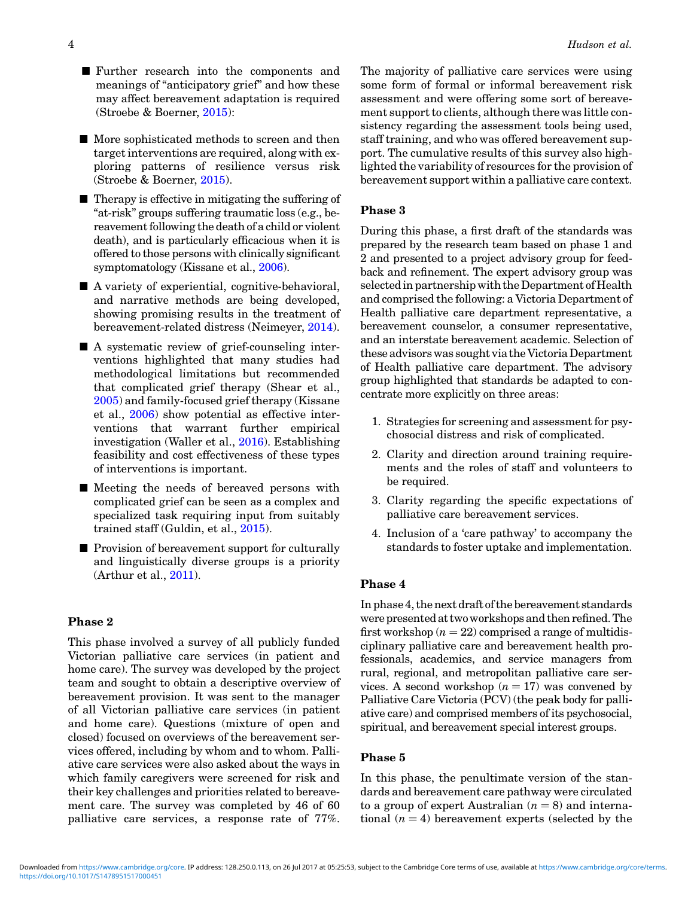- B Further research into the components and meanings of "anticipatory grief" and how these may affect bereavement adaptation is required (Stroebe & Boerner, [2015](#page-12-0)):
- More sophisticated methods to screen and then target interventions are required, along with exploring patterns of resilience versus risk (Stroebe & Boerner, [2015](#page-12-0)).
- $\blacksquare$  Therapy is effective in mitigating the suffering of "at-risk" groups suffering traumatic loss (e.g., bereavement following the death of a child or violent death), and is particularly efficacious when it is offered to those persons with clinically significant symptomatology (Kissane et al., [2006\)](#page-11-0).
- A variety of experiential, cognitive-behavioral, and narrative methods are being developed, showing promising results in the treatment of bereavement-related distress (Neimeyer, [2014\)](#page-11-0).
- A systematic review of grief-counseling interventions highlighted that many studies had methodological limitations but recommended that complicated grief therapy (Shear et al., [2005\)](#page-12-0) and family-focused grief therapy (Kissane et al., [2006](#page-11-0)) show potential as effective interventions that warrant further empirical investigation (Waller et al., [2016\)](#page-12-0). Establishing feasibility and cost effectiveness of these types of interventions is important.
- **B** Meeting the needs of bereaved persons with complicated grief can be seen as a complex and specialized task requiring input from suitably trained staff (Guldin, et al., [2015](#page-11-0)).
- **Provision of bereavement support for culturally** and linguistically diverse groups is a priority (Arthur et al., [2011](#page-10-0)).

## Phase 2

This phase involved a survey of all publicly funded Victorian palliative care services (in patient and home care). The survey was developed by the project team and sought to obtain a descriptive overview of bereavement provision. It was sent to the manager of all Victorian palliative care services (in patient and home care). Questions (mixture of open and closed) focused on overviews of the bereavement services offered, including by whom and to whom. Palliative care services were also asked about the ways in which family caregivers were screened for risk and their key challenges and priorities related to bereavement care. The survey was completed by 46 of 60 palliative care services, a response rate of 77%.

The majority of palliative care services were using some form of formal or informal bereavement risk assessment and were offering some sort of bereavement support to clients, although there was little consistency regarding the assessment tools being used, staff training, and who was offered bereavement support. The cumulative results of this survey also highlighted the variability of resources for the provision of bereavement support within a palliative care context.

## Phase 3

During this phase, a first draft of the standards was prepared by the research team based on phase 1 and 2 and presented to a project advisory group for feedback and refinement. The expert advisory group was selected in partnership with the Department of Health and comprised the following: a Victoria Department of Health palliative care department representative, a bereavement counselor, a consumer representative, and an interstate bereavement academic. Selection of these advisors was sought viathe Victoria Department of Health palliative care department. The advisory group highlighted that standards be adapted to concentrate more explicitly on three areas:

- 1. Strategies for screening and assessment for psychosocial distress and risk of complicated.
- 2. Clarity and direction around training requirements and the roles of staff and volunteers to be required.
- 3. Clarity regarding the specific expectations of palliative care bereavement services.
- 4. Inclusion of a 'care pathway' to accompany the standards to foster uptake and implementation.

## Phase 4

In phase 4, the next draft of the bereavement standards were presented at two workshops and then refined. The first workshop  $(n = 22)$  comprised a range of multidisciplinary palliative care and bereavement health professionals, academics, and service managers from rural, regional, and metropolitan palliative care services. A second workshop  $(n = 17)$  was convened by Palliative Care Victoria (PCV) (the peak body for palliative care) and comprised members of its psychosocial, spiritual, and bereavement special interest groups.

#### Phase 5

In this phase, the penultimate version of the standards and bereavement care pathway were circulated to a group of expert Australian  $(n = 8)$  and international  $(n = 4)$  bereavement experts (selected by the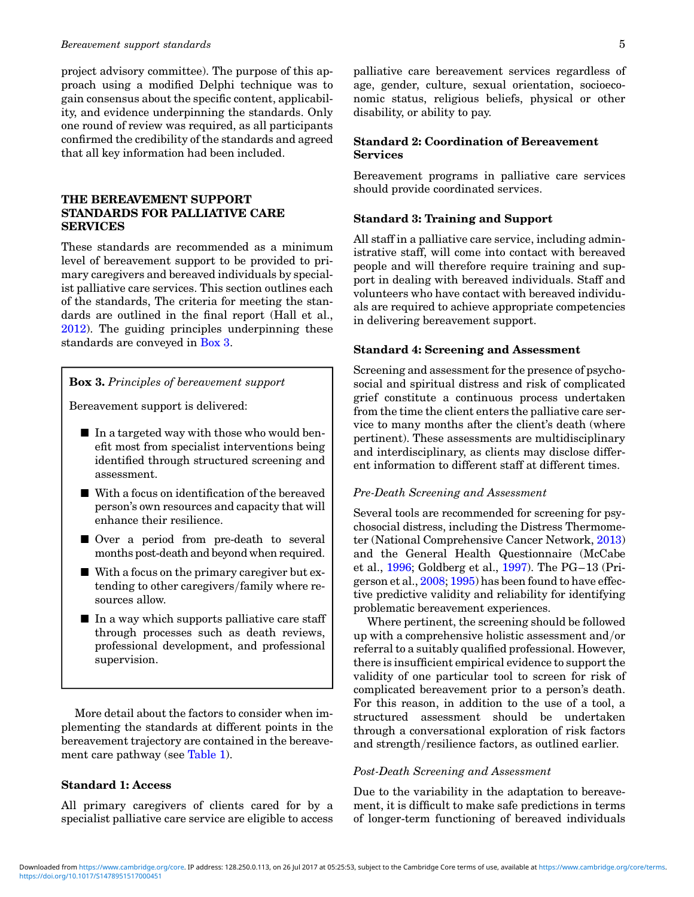#### $Bereavement support standards$  5

project advisory committee). The purpose of this approach using a modified Delphi technique was to gain consensus about the specific content, applicability, and evidence underpinning the standards. Only one round of review was required, as all participants confirmed the credibility of the standards and agreed that all key information had been included.

# THE BEREAVEMENT SUPPORT STANDARDS FOR PALLIATIVE CARE SERVICES

These standards are recommended as a minimum level of bereavement support to be provided to primary caregivers and bereaved individuals by specialist palliative care services. This section outlines each of the standards, The criteria for meeting the standards are outlined in the final report (Hall et al., [2012](#page-11-0)). The guiding principles underpinning these standards are conveyed in Box 3.

#### Box 3. Principles of bereavement support

Bereavement support is delivered:

- B In a targeted way with those who would benefit most from specialist interventions being identified through structured screening and assessment.
- B With a focus on identification of the bereaved person's own resources and capacity that will enhance their resilience.
- Over a period from pre-death to several months post-death and beyond when required.
- B With a focus on the primary caregiver but extending to other caregivers/family where resources allow.
- $\blacksquare$  In a way which supports palliative care staff through processes such as death reviews, professional development, and professional supervision.

More detail about the factors to consider when implementing the standards at different points in the bereavement trajectory are contained in the bereavement care pathway (see [Table 1](#page-5-0)).

## Standard 1: Access

All primary caregivers of clients cared for by a specialist palliative care service are eligible to access palliative care bereavement services regardless of age, gender, culture, sexual orientation, socioeconomic status, religious beliefs, physical or other disability, or ability to pay.

# Standard 2: Coordination of Bereavement Services

Bereavement programs in palliative care services should provide coordinated services.

# Standard 3: Training and Support

All staff in a palliative care service, including administrative staff, will come into contact with bereaved people and will therefore require training and support in dealing with bereaved individuals. Staff and volunteers who have contact with bereaved individuals are required to achieve appropriate competencies in delivering bereavement support.

## Standard 4: Screening and Assessment

Screening and assessment for the presence of psychosocial and spiritual distress and risk of complicated grief constitute a continuous process undertaken from the time the client enters the palliative care service to many months after the client's death (where pertinent). These assessments are multidisciplinary and interdisciplinary, as clients may disclose different information to different staff at different times.

#### Pre-Death Screening and Assessment

Several tools are recommended for screening for psychosocial distress, including the Distress Thermometer (National Comprehensive Cancer Network, [2013\)](#page-11-0) and the General Health Questionnaire (McCabe et al., [1996](#page-11-0); Goldberg et al., [1997](#page-11-0)). The PG–13 (Pri-gerson et al., [2008;](#page-11-0) [1995](#page-11-0)) has been found to have effective predictive validity and reliability for identifying problematic bereavement experiences.

Where pertinent, the screening should be followed up with a comprehensive holistic assessment and/or referral to a suitably qualified professional. However, there is insufficient empirical evidence to support the validity of one particular tool to screen for risk of complicated bereavement prior to a person's death. For this reason, in addition to the use of a tool, a structured assessment should be undertaken through a conversational exploration of risk factors and strength/resilience factors, as outlined earlier.

#### Post-Death Screening and Assessment

Due to the variability in the adaptation to bereavement, it is difficult to make safe predictions in terms of longer-term functioning of bereaved individuals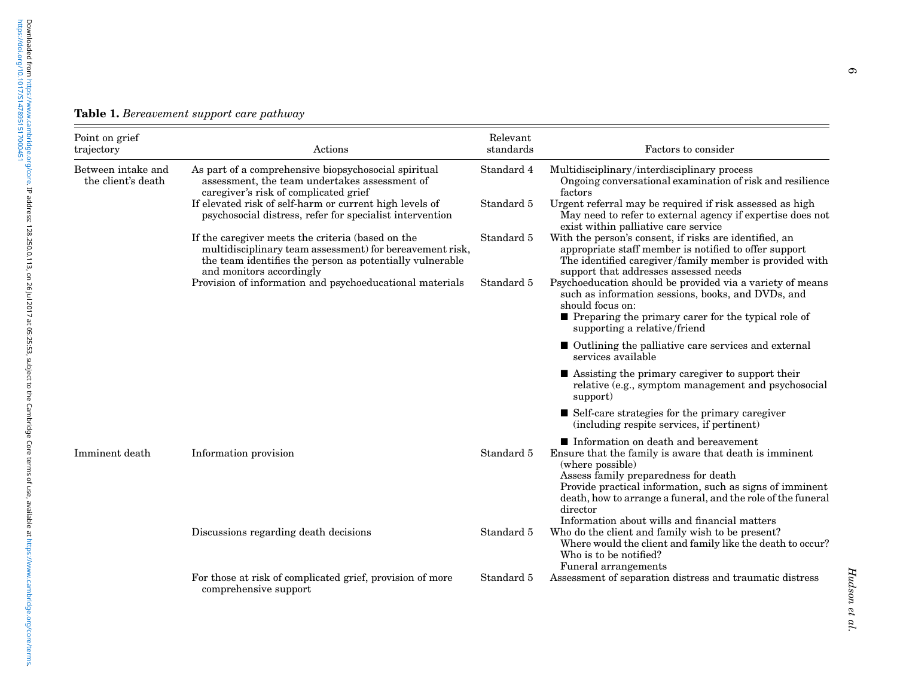<span id="page-5-0"></span>

|  | <b>Table 1.</b> Bereavement support care pathway |  |  |  |
|--|--------------------------------------------------|--|--|--|
|--|--------------------------------------------------|--|--|--|

| Point on grief<br>trajectory             | Actions                                                                                                                                                                                               | Relevant<br>standards | Factors to consider                                                                                                                                                                                                                                                                                                                                 |
|------------------------------------------|-------------------------------------------------------------------------------------------------------------------------------------------------------------------------------------------------------|-----------------------|-----------------------------------------------------------------------------------------------------------------------------------------------------------------------------------------------------------------------------------------------------------------------------------------------------------------------------------------------------|
| Between intake and<br>the client's death | As part of a comprehensive biopsychosocial spiritual<br>assessment, the team undertakes assessment of<br>caregiver's risk of complicated grief                                                        | Standard 4            | Multidisciplinary/interdisciplinary process<br>Ongoing conversational examination of risk and resilience<br>factors                                                                                                                                                                                                                                 |
|                                          | If elevated risk of self-harm or current high levels of<br>psychosocial distress, refer for specialist intervention                                                                                   | Standard 5            | Urgent referral may be required if risk assessed as high<br>May need to refer to external agency if expertise does not<br>exist within palliative care service                                                                                                                                                                                      |
|                                          | If the caregiver meets the criteria (based on the<br>multidisciplinary team assessment) for bereavement risk,<br>the team identifies the person as potentially vulnerable<br>and monitors accordingly | Standard 5            | With the person's consent, if risks are identified, an<br>appropriate staff member is notified to offer support<br>The identified caregiver/family member is provided with<br>support that addresses assessed needs                                                                                                                                 |
|                                          | Provision of information and psychoeducational materials                                                                                                                                              | Standard 5            | Psychoeducation should be provided via a variety of means<br>such as information sessions, books, and DVDs, and<br>should focus on:<br>$\blacksquare$ Preparing the primary carer for the typical role of<br>supporting a relative/friend                                                                                                           |
|                                          |                                                                                                                                                                                                       |                       | ■ Outlining the palliative care services and external<br>services available                                                                                                                                                                                                                                                                         |
|                                          |                                                                                                                                                                                                       |                       | ■ Assisting the primary caregiver to support their<br>relative (e.g., symptom management and psychosocial<br>support)                                                                                                                                                                                                                               |
|                                          |                                                                                                                                                                                                       |                       | ■ Self-care strategies for the primary caregiver<br>(including respite services, if pertinent)                                                                                                                                                                                                                                                      |
| Imminent death                           | Information provision                                                                                                                                                                                 | Standard 5            | Information on death and bereavement<br>Ensure that the family is aware that death is imminent<br>(where possible)<br>Assess family preparedness for death<br>Provide practical information, such as signs of imminent<br>death, how to arrange a funeral, and the role of the funeral<br>director<br>Information about wills and financial matters |
|                                          | Discussions regarding death decisions                                                                                                                                                                 | Standard 5            | Who do the client and family wish to be present?<br>Where would the client and family like the death to occur?<br>Who is to be notified?<br>Funeral arrangements                                                                                                                                                                                    |
|                                          | For those at risk of complicated grief, provision of more<br>comprehensive support                                                                                                                    | Standard 5            | Assessment of separation distress and traumatic distress                                                                                                                                                                                                                                                                                            |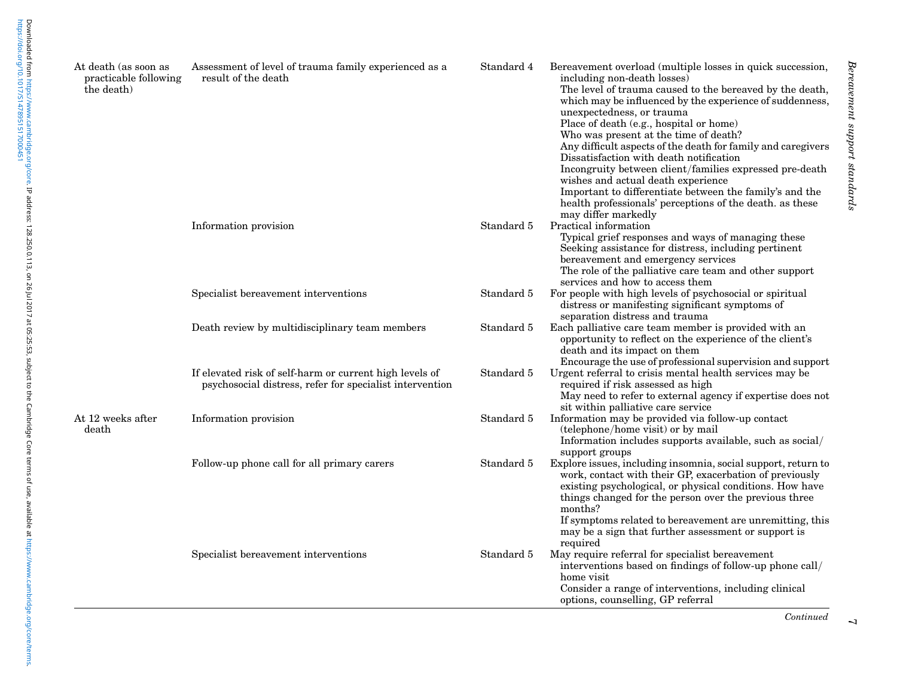| At death (as soon as<br>practicable following | Assessment of level of trauma family experienced as a<br>result of the death                                        | Standard 4 | Bereavement overload (multiple losses in quick succession,<br>including non-death losses)                                                                                                                                                                                  |
|-----------------------------------------------|---------------------------------------------------------------------------------------------------------------------|------------|----------------------------------------------------------------------------------------------------------------------------------------------------------------------------------------------------------------------------------------------------------------------------|
| the death)                                    |                                                                                                                     |            | The level of trauma caused to the bereaved by the death,<br>which may be influenced by the experience of suddenness,<br>unexpectedness, or trauma<br>Place of death (e.g., hospital or home)                                                                               |
|                                               |                                                                                                                     |            | Who was present at the time of death?<br>Any difficult aspects of the death for family and caregivers<br>Dissatisfaction with death notification<br>Incongruity between client/families expressed pre-death                                                                |
|                                               |                                                                                                                     |            | wishes and actual death experience<br>Important to differentiate between the family's and the<br>health professionals' perceptions of the death. as these                                                                                                                  |
|                                               |                                                                                                                     | Standard 5 | may differ markedly<br>Practical information                                                                                                                                                                                                                               |
|                                               | Information provision                                                                                               |            | Typical grief responses and ways of managing these<br>Seeking assistance for distress, including pertinent<br>bereavement and emergency services<br>The role of the palliative care team and other support                                                                 |
|                                               |                                                                                                                     |            | services and how to access them                                                                                                                                                                                                                                            |
|                                               | Specialist bereavement interventions                                                                                | Standard 5 | For people with high levels of psychosocial or spiritual<br>distress or manifesting significant symptoms of<br>separation distress and trauma                                                                                                                              |
|                                               | Death review by multidisciplinary team members                                                                      | Standard 5 | Each palliative care team member is provided with an<br>opportunity to reflect on the experience of the client's<br>death and its impact on them<br>Encourage the use of professional supervision and support                                                              |
|                                               | If elevated risk of self-harm or current high levels of<br>psychosocial distress, refer for specialist intervention | Standard 5 | Urgent referral to crisis mental health services may be<br>required if risk assessed as high<br>May need to refer to external agency if expertise does not                                                                                                                 |
| At 12 weeks after<br>death                    | Information provision                                                                                               | Standard 5 | sit within palliative care service<br>Information may be provided via follow-up contact<br>(telephone/home visit) or by mail<br>Information includes supports available, such as social/                                                                                   |
|                                               | Follow-up phone call for all primary carers                                                                         | Standard 5 | support groups<br>Explore issues, including insomnia, social support, return to<br>work, contact with their GP, exacerbation of previously<br>existing psychological, or physical conditions. How have<br>things changed for the person over the previous three<br>months? |
|                                               |                                                                                                                     |            | If symptoms related to be reavement are unremitting, this<br>may be a sign that further assessment or support is<br>required                                                                                                                                               |
|                                               | Specialist bereavement interventions                                                                                | Standard 5 | May require referral for specialist bereavement<br>interventions based on findings of follow-up phone call/<br>home visit                                                                                                                                                  |
|                                               |                                                                                                                     |            | Consider a range of interventions, including clinical<br>options, counselling, GP referral                                                                                                                                                                                 |
|                                               |                                                                                                                     |            | $\sim$ $\sim$                                                                                                                                                                                                                                                              |

Downloaded from https://www.cambridge.org/core.IP address: 128.250.0.113, on 26 Jul 2017 at 05:25:53, subject to the Cambridge Core terms of use, available at https://www.cambridge.org/core/terms.<br>https://doi.org/10.1017/s <https://doi.org/10.1017/S1478951517000451> Downloaded from [https://www.cambridge.org/core.](https://www.cambridge.org/core) IP address: 128.250.0.113, on 26 Jul 2017 at 05:25:53, subject to the Cambridge Core terms of use, available at <https://www.cambridge.org/core/terms>.

 $\blacktriangleleft$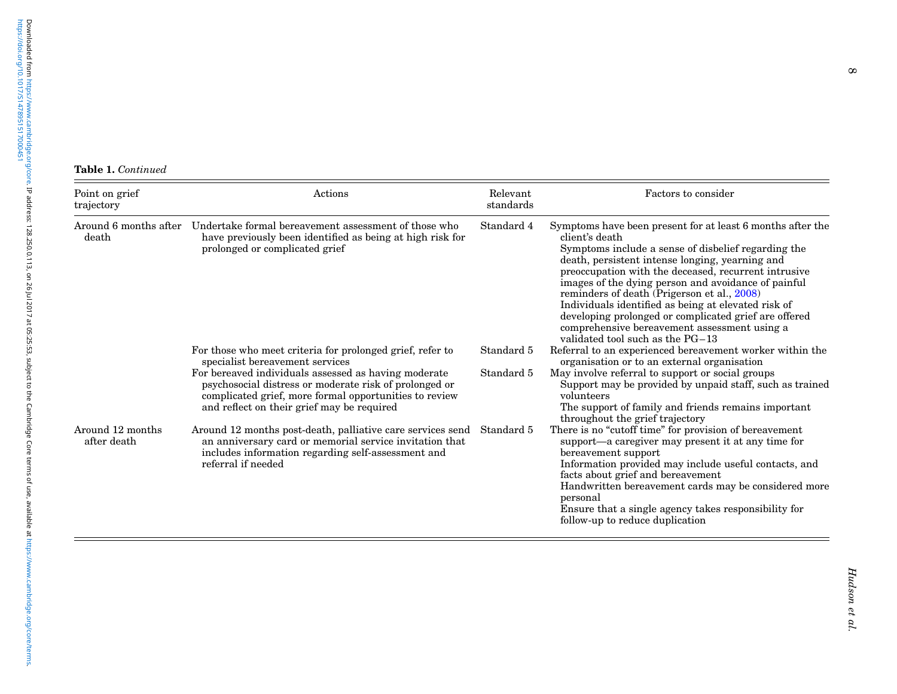Downloaded from [https://www.cambridge.org/core.](https://www.cambridge.org/core) IP address: 128.250.0.113, on 26 Jul 2017 at 05:25:53, subject to the Cambridge Core terms of use, available at <https://www.cambridge.org/core/terms>.

<https://doi.org/10.1017/S1478951517000451>

| Point on grief<br>trajectory    | Actions                                                                                                                                                                                                                                                                                                                | Relevant<br>standards    | Factors to consider                                                                                                                                                                                                                                                                                                                                                                                                                                                                                                                                      |
|---------------------------------|------------------------------------------------------------------------------------------------------------------------------------------------------------------------------------------------------------------------------------------------------------------------------------------------------------------------|--------------------------|----------------------------------------------------------------------------------------------------------------------------------------------------------------------------------------------------------------------------------------------------------------------------------------------------------------------------------------------------------------------------------------------------------------------------------------------------------------------------------------------------------------------------------------------------------|
| Around 6 months after<br>death  | Undertake formal bereavement assessment of those who<br>have previously been identified as being at high risk for<br>prolonged or complicated grief                                                                                                                                                                    | Standard 4               | Symptoms have been present for at least 6 months after the<br>client's death<br>Symptoms include a sense of disbelief regarding the<br>death, persistent intense longing, yearning and<br>preoccupation with the deceased, recurrent intrusive<br>images of the dying person and avoidance of painful<br>reminders of death (Prigerson et al., 2008)<br>Individuals identified as being at elevated risk of<br>developing prolonged or complicated grief are offered<br>comprehensive bereavement assessment using a<br>validated tool such as the PG-13 |
|                                 | For those who meet criteria for prolonged grief, refer to<br>specialist bereavement services<br>For bereaved individuals assessed as having moderate<br>psychosocial distress or moderate risk of prolonged or<br>complicated grief, more formal opportunities to review<br>and reflect on their grief may be required | Standard 5<br>Standard 5 | Referral to an experienced bereavement worker within the<br>organisation or to an external organisation<br>May involve referral to support or social groups<br>Support may be provided by unpaid staff, such as trained<br>volunteers<br>The support of family and friends remains important<br>throughout the grief trajectory                                                                                                                                                                                                                          |
| Around 12 months<br>after death | Around 12 months post-death, palliative care services send<br>an anniversary card or memorial service invitation that<br>includes information regarding self-assessment and<br>referral if needed                                                                                                                      | Standard 5               | There is no "cutoff time" for provision of bereavement<br>support—a caregiver may present it at any time for<br>bereavement support<br>Information provided may include useful contacts, and<br>facts about grief and bereavement<br>Handwritten bereavement cards may be considered more<br>personal<br>Ensure that a single agency takes responsibility for<br>follow-up to reduce duplication                                                                                                                                                         |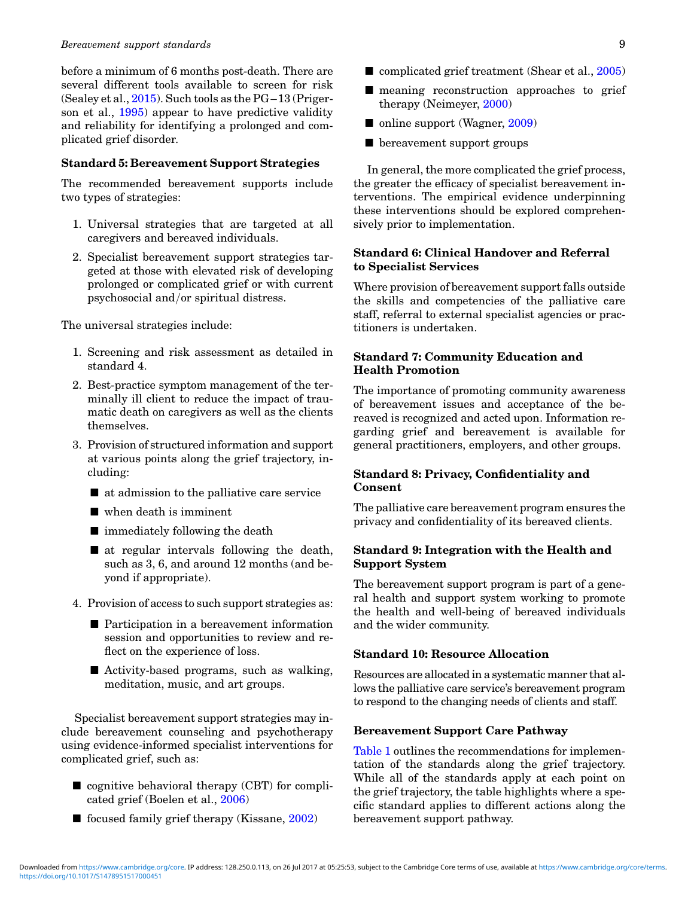before a minimum of 6 months post-death. There are several different tools available to screen for risk (Sealey et al., [2015](#page-12-0)). Such tools as the PG–13 (Prigerson et al., [1995](#page-11-0)) appear to have predictive validity and reliability for identifying a prolonged and complicated grief disorder.

## Standard 5: Bereavement Support Strategies

The recommended bereavement supports include two types of strategies:

- 1. Universal strategies that are targeted at all caregivers and bereaved individuals.
- 2. Specialist bereavement support strategies targeted at those with elevated risk of developing prolonged or complicated grief or with current psychosocial and/or spiritual distress.

The universal strategies include:

- 1. Screening and risk assessment as detailed in standard 4.
- 2. Best-practice symptom management of the terminally ill client to reduce the impact of traumatic death on caregivers as well as the clients themselves.
- 3. Provision of structured information and support at various points along the grief trajectory, including:
	- $\blacksquare$  at admission to the palliative care service
	- $\blacksquare$  when death is imminent
	- $\blacksquare$  immediately following the death
	- $\blacksquare$  at regular intervals following the death, such as 3, 6, and around 12 months (and beyond if appropriate).
- 4. Provision of access to such support strategies as:
	- Participation in a bereavement information session and opportunities to review and reflect on the experience of loss.
	- Activity-based programs, such as walking, meditation, music, and art groups.

Specialist bereavement support strategies may include bereavement counseling and psychotherapy using evidence-informed specialist interventions for complicated grief, such as:

- $\blacksquare$  cognitive behavioral therapy (CBT) for complicated grief (Boelen et al., [2006\)](#page-10-0)
- Geta family grief therapy (Kissane,  $2002$ )
- $\blacksquare$  complicated grief treatment (Shear et al., [2005\)](#page-12-0)
- $\blacksquare$  meaning reconstruction approaches to grief therapy (Neimeyer, [2000](#page-11-0))
- online support (Wagner, [2009\)](#page-12-0)
- **B** bereavement support groups

In general, the more complicated the grief process, the greater the efficacy of specialist bereavement interventions. The empirical evidence underpinning these interventions should be explored comprehensively prior to implementation.

## Standard 6: Clinical Handover and Referral to Specialist Services

Where provision of bereavement support falls outside the skills and competencies of the palliative care staff, referral to external specialist agencies or practitioners is undertaken.

# Standard 7: Community Education and Health Promotion

The importance of promoting community awareness of bereavement issues and acceptance of the bereaved is recognized and acted upon. Information regarding grief and bereavement is available for general practitioners, employers, and other groups.

# Standard 8: Privacy, Confidentiality and Consent

The palliative care bereavement program ensures the privacy and confidentiality of its bereaved clients.

# Standard 9: Integration with the Health and Support System

The bereavement support program is part of a general health and support system working to promote the health and well-being of bereaved individuals and the wider community.

# Standard 10: Resource Allocation

Resources are allocated in a systematic manner that allows the palliative care service's bereavement program to respond to the changing needs of clients and staff.

## Bereavement Support Care Pathway

[Table 1](#page-5-0) outlines the recommendations for implementation of the standards along the grief trajectory. While all of the standards apply at each point on the grief trajectory, the table highlights where a specific standard applies to different actions along the bereavement support pathway.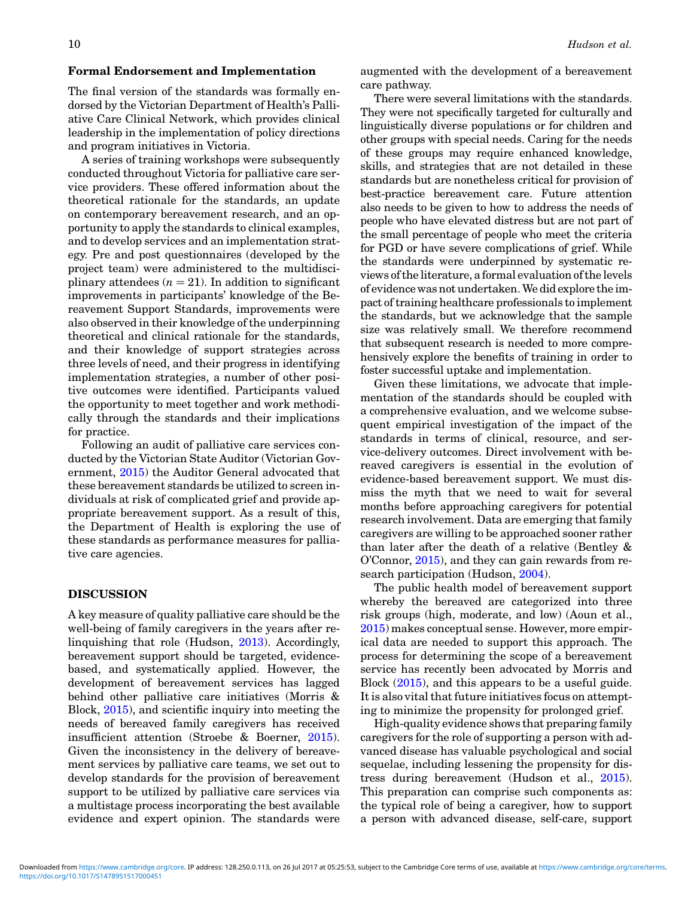#### Formal Endorsement and Implementation

The final version of the standards was formally endorsed by the Victorian Department of Health's Palliative Care Clinical Network, which provides clinical leadership in the implementation of policy directions and program initiatives in Victoria.

A series of training workshops were subsequently conducted throughout Victoria for palliative care service providers. These offered information about the theoretical rationale for the standards, an update on contemporary bereavement research, and an opportunity to apply the standards to clinical examples, and to develop services and an implementation strategy. Pre and post questionnaires (developed by the project team) were administered to the multidisciplinary attendees  $(n = 21)$ . In addition to significant improvements in participants' knowledge of the Bereavement Support Standards, improvements were also observed in their knowledge of the underpinning theoretical and clinical rationale for the standards, and their knowledge of support strategies across three levels of need, and their progress in identifying implementation strategies, a number of other positive outcomes were identified. Participants valued the opportunity to meet together and work methodically through the standards and their implications for practice.

Following an audit of palliative care services conducted by the Victorian State Auditor (Victorian Government, [2015\)](#page-12-0) the Auditor General advocated that these bereavement standards be utilized to screen individuals at risk of complicated grief and provide appropriate bereavement support. As a result of this, the Department of Health is exploring the use of these standards as performance measures for palliative care agencies.

#### DISCUSSION

A key measure of quality palliative care should be the well-being of family caregivers in the years after relinquishing that role (Hudson, [2013\)](#page-11-0). Accordingly, bereavement support should be targeted, evidencebased, and systematically applied. However, the development of bereavement services has lagged behind other palliative care initiatives (Morris & Block, [2015\)](#page-11-0), and scientific inquiry into meeting the needs of bereaved family caregivers has received insufficient attention (Stroebe & Boerner, [2015\)](#page-12-0). Given the inconsistency in the delivery of bereavement services by palliative care teams, we set out to develop standards for the provision of bereavement support to be utilized by palliative care services via a multistage process incorporating the best available evidence and expert opinion. The standards were

augmented with the development of a bereavement care pathway.

There were several limitations with the standards. They were not specifically targeted for culturally and linguistically diverse populations or for children and other groups with special needs. Caring for the needs of these groups may require enhanced knowledge, skills, and strategies that are not detailed in these standards but are nonetheless critical for provision of best-practice bereavement care. Future attention also needs to be given to how to address the needs of people who have elevated distress but are not part of the small percentage of people who meet the criteria for PGD or have severe complications of grief. While the standards were underpinned by systematic reviews of the literature, aformal evaluation of the levels of evidencewas not undertaken. We did explore the impact of training healthcare professionals to implement the standards, but we acknowledge that the sample size was relatively small. We therefore recommend that subsequent research is needed to more comprehensively explore the benefits of training in order to foster successful uptake and implementation.

Given these limitations, we advocate that implementation of the standards should be coupled with a comprehensive evaluation, and we welcome subsequent empirical investigation of the impact of the standards in terms of clinical, resource, and service-delivery outcomes. Direct involvement with bereaved caregivers is essential in the evolution of evidence-based bereavement support. We must dismiss the myth that we need to wait for several months before approaching caregivers for potential research involvement. Data are emerging that family caregivers are willing to be approached sooner rather than later after the death of a relative (Bentley & O'Connor, [2015](#page-10-0)), and they can gain rewards from research participation (Hudson, [2004](#page-11-0)).

The public health model of bereavement support whereby the bereaved are categorized into three risk groups (high, moderate, and low) (Aoun et al., [2015](#page-10-0)) makes conceptual sense. However, more empirical data are needed to support this approach. The process for determining the scope of a bereavement service has recently been advocated by Morris and Block [\(2015](#page-11-0)), and this appears to be a useful guide. It is also vital that future initiatives focus on attempting to minimize the propensity for prolonged grief.

High-quality evidence shows that preparing family caregivers for the role of supporting a person with advanced disease has valuable psychological and social sequelae, including lessening the propensity for distress during bereavement (Hudson et al., [2015\)](#page-11-0). This preparation can comprise such components as: the typical role of being a caregiver, how to support a person with advanced disease, self-care, support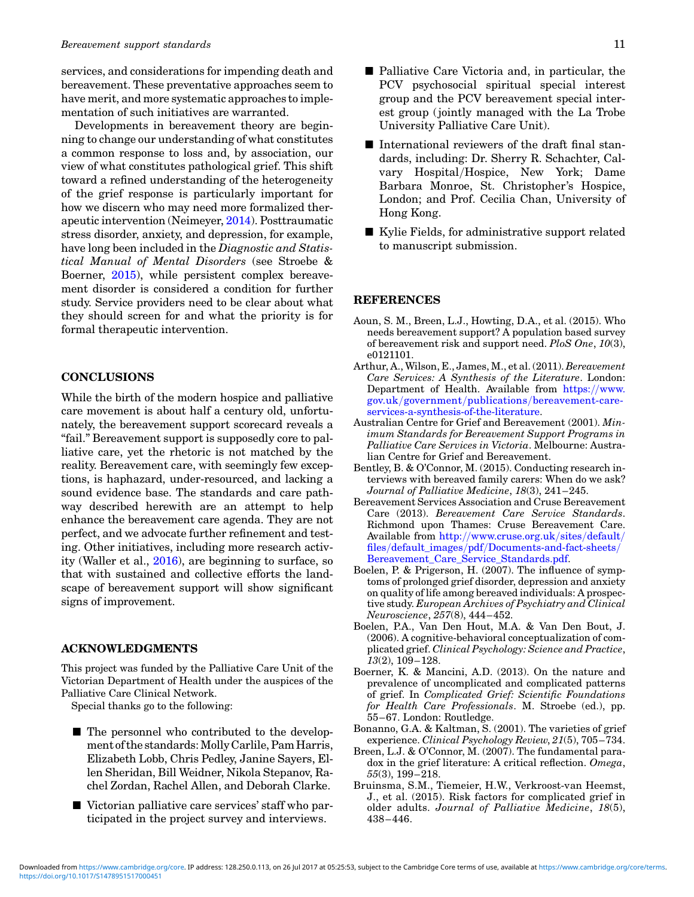<span id="page-10-0"></span>services, and considerations for impending death and bereavement. These preventative approaches seem to have merit, and more systematic approaches to implementation of such initiatives are warranted.

Developments in bereavement theory are beginning to change our understanding of what constitutes a common response to loss and, by association, our view of what constitutes pathological grief. This shift toward a refined understanding of the heterogeneity of the grief response is particularly important for how we discern who may need more formalized therapeutic intervention (Neimeyer, [2014](#page-11-0)). Posttraumatic stress disorder, anxiety, and depression, for example, have long been included in the Diagnostic and Statistical Manual of Mental Disorders (see Stroebe & Boerner, [2015](#page-12-0)), while persistent complex bereavement disorder is considered a condition for further study. Service providers need to be clear about what they should screen for and what the priority is for formal therapeutic intervention.

## CONCLUSIONS

While the birth of the modern hospice and palliative care movement is about half a century old, unfortunately, the bereavement support scorecard reveals a "fail." Bereavement support is supposedly core to palliative care, yet the rhetoric is not matched by the reality. Bereavement care, with seemingly few exceptions, is haphazard, under-resourced, and lacking a sound evidence base. The standards and care pathway described herewith are an attempt to help enhance the bereavement care agenda. They are not perfect, and we advocate further refinement and testing. Other initiatives, including more research activity (Waller et al., [2016](#page-12-0)), are beginning to surface, so that with sustained and collective efforts the landscape of bereavement support will show significant signs of improvement.

#### ACKNOWLEDGMENTS

This project was funded by the Palliative Care Unit of the Victorian Department of Health under the auspices of the Palliative Care Clinical Network.

Special thanks go to the following:

- The personnel who contributed to the development of the standards: Molly Carlile, Pam Harris, Elizabeth Lobb, Chris Pedley, Janine Sayers, Ellen Sheridan, Bill Weidner, Nikola Stepanov, Rachel Zordan, Rachel Allen, and Deborah Clarke.
- B Victorian palliative care services' staff who participated in the project survey and interviews.
- **B** Palliative Care Victoria and, in particular, the PCV psychosocial spiritual special interest group and the PCV bereavement special interest group (jointly managed with the La Trobe University Palliative Care Unit).
- $\blacksquare$  International reviewers of the draft final standards, including: Dr. Sherry R. Schachter, Calvary Hospital/Hospice, New York; Dame Barbara Monroe, St. Christopher's Hospice, London; and Prof. Cecilia Chan, University of Hong Kong.
- $\blacksquare$  Kylie Fields, for administrative support related to manuscript submission.

#### **REFERENCES**

- Aoun, S. M., Breen, L.J., Howting, D.A., et al. (2015). Who needs bereavement support? A population based survey of bereavement risk and support need.  $P$ loS One, 10(3), e0121101.
- Arthur, A., Wilson, E., James, M., et al. (2011). Bereavement Care Services: A Synthesis of the Literature. London: Department of Health. Available from [https:](https://www.gov.uk/government/publications/bereavement-care-services-a-synthesis-of-the-literature)//www. gov.uk/government/publications/[bereavement-care](https://www.gov.uk/government/publications/bereavement-care-services-a-synthesis-of-the-literature)[services-a-synthesis-of-the-literature](https://www.gov.uk/government/publications/bereavement-care-services-a-synthesis-of-the-literature).
- Australian Centre for Grief and Bereavement (2001). Minimum Standards for Bereavement Support Programs in Palliative Care Services in Victoria. Melbourne: Australian Centre for Grief and Bereavement.
- Bentley, B. & O'Connor, M. (2015). Conducting research interviews with bereaved family carers: When do we ask? Journal of Palliative Medicine, 18(3), 241–245.
- Bereavement Services Association and Cruse Bereavement Care (2013). Bereavement Care Service Standards. Richmond upon Thames: Cruse Bereavement Care. Available from [http:](http://www.cruse.org.uk/sites/default/files/default_images/pdf/Documents-and-fact-sheets/Bereavement_Care_Service_Standards.pdf)//[www.cruse.org.uk](http://www.cruse.org.uk/sites/default/files/default_images/pdf/Documents-and-fact-sheets/Bereavement_Care_Service_Standards.pdf)/sites/default/ files/default\_images/pdf/[Documents-and-fact-sheets](http://www.cruse.org.uk/sites/default/files/default_images/pdf/Documents-and-fact-sheets/Bereavement_Care_Service_Standards.pdf)/ [Bereavement\\_Care\\_Service\\_Standards.pdf](http://www.cruse.org.uk/sites/default/files/default_images/pdf/Documents-and-fact-sheets/Bereavement_Care_Service_Standards.pdf).
- Boelen, P. & Prigerson, H. (2007). The influence of symptoms of prolonged grief disorder, depression and anxiety on quality of life among bereaved individuals: A prospective study. European Archives of Psychiatry and Clinical Neuroscience, 257(8), 444–452.
- Boelen, P.A., Van Den Hout, M.A. & Van Den Bout, J. (2006). A cognitive-behavioral conceptualization of complicated grief. Clinical Psychology: Science and Practice, 13(2), 109–128.
- Boerner, K. & Mancini, A.D. (2013). On the nature and prevalence of uncomplicated and complicated patterns of grief. In Complicated Grief: Scientific Foundations for Health Care Professionals. M. Stroebe (ed.), pp. 55–67. London: Routledge.
- Bonanno, G.A. & Kaltman, S. (2001). The varieties of grief experience. Clinical Psychology Review, 21(5), 705–734.
- Breen, L.J. & O'Connor, M. (2007). The fundamental paradox in the grief literature: A critical reflection. Omega, 55(3), 199–218.
- Bruinsma, S.M., Tiemeier, H.W., Verkroost-van Heemst, J., et al. (2015). Risk factors for complicated grief in older adults. Journal of Palliative Medicine, 18(5), 438–446.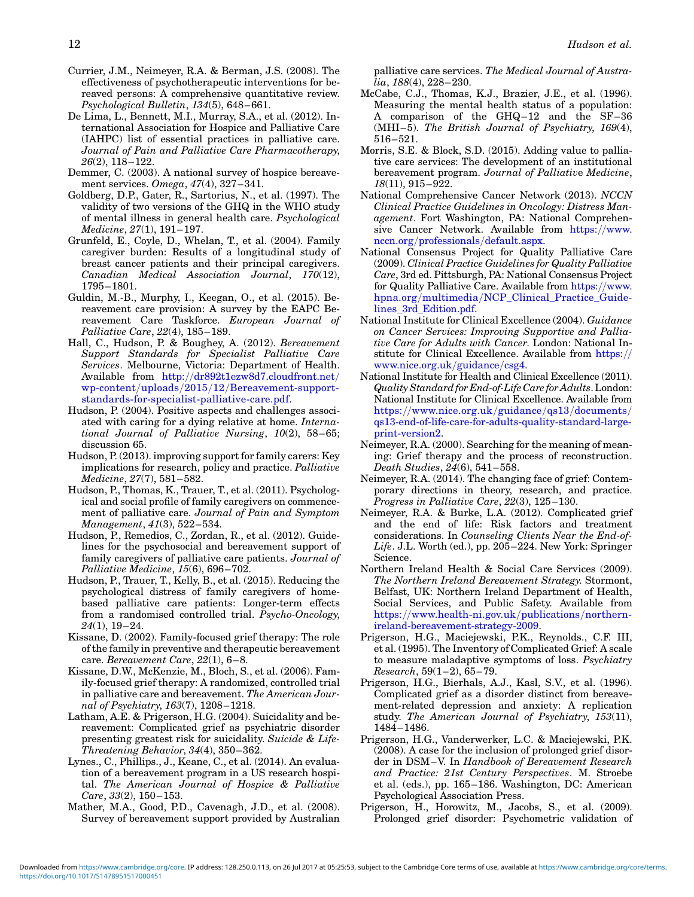- <span id="page-11-0"></span>Currier, J.M., Neimeyer, R.A. & Berman, J.S. (2008). The effectiveness of psychotherapeutic interventions for bereaved persons: A comprehensive quantitative review. Psychological Bulletin, 134(5), 648–661.
- De Lima, L., Bennett, M.I., Murray, S.A., et al. (2012). International Association for Hospice and Palliative Care (IAHPC) list of essential practices in palliative care. Journal of Pain and Palliative Care Pharmacotherapy, 26(2), 118–122.
- Demmer, C. (2003). A national survey of hospice bereavement services. Omega, 47(4), 327-341.
- Goldberg, D.P., Gater, R., Sartorius, N., et al. (1997). The validity of two versions of the GHQ in the WHO study of mental illness in general health care. Psychological Medicine, 27(1), 191–197.
- Grunfeld, E., Coyle, D., Whelan, T., et al. (2004). Family caregiver burden: Results of a longitudinal study of breast cancer patients and their principal caregivers. Canadian Medical Association Journal, 170(12), 1795–1801.
- Guldin, M.-B., Murphy, I., Keegan, O., et al. (2015). Bereavement care provision: A survey by the EAPC Bereavement Care Taskforce. European Journal of Palliative Care, 22(4), 185–189.
- Hall, C., Hudson, P. & Boughey, A. (2012). Bereavement Support Standards for Specialist Palliative Care Services. Melbourne, Victoria: Department of Health. Available from [http:](http://dr892t1ezw8d7.cloudfront.net/wp-content/uploads/2015/12/Bereavement-support-standards-for-specialist-palliative-care.pdf)//[dr892t1ezw8d7.cloudfront.net](http://dr892t1ezw8d7.cloudfront.net/wp-content/uploads/2015/12/Bereavement-support-standards-for-specialist-palliative-care.pdf)/  $_{\rm wp\text{-}content/uploads/2015/12/Bereavement\text{-}support-}$ [standards-for-specialist-palliative-care.pdf](http://dr892t1ezw8d7.cloudfront.net/wp-content/uploads/2015/12/Bereavement-support-standards-for-specialist-palliative-care.pdf).
- Hudson, P. (2004). Positive aspects and challenges associated with caring for a dying relative at home. International Journal of Palliative Nursing, 10(2), 58–65; discussion 65.
- Hudson, P. (2013). improving support for family carers: Key implications for research, policy and practice. Palliative Medicine, 27(7), 581–582.
- Hudson, P., Thomas, K., Trauer, T., et al. (2011). Psychological and social profile of family caregivers on commencement of palliative care. Journal of Pain and Symptom Management, 41(3), 522–534.
- Hudson, P., Remedios, C., Zordan, R., et al. (2012). Guidelines for the psychosocial and bereavement support of family caregivers of palliative care patients. Journal of Palliative Medicine, 15(6), 696–702.
- Hudson, P., Trauer, T., Kelly, B., et al. (2015). Reducing the psychological distress of family caregivers of homebased palliative care patients: Longer-term effects from a randomised controlled trial. Psycho-Oncology,  $24(1)$ ,  $19-24$ .
- Kissane, D. (2002). Family-focused grief therapy: The role of the family in preventive and therapeutic bereavement care. Bereavement Care, 22(1), 6–8.
- Kissane, D.W., McKenzie, M., Bloch, S., et al. (2006). Family-focused grief therapy: A randomized, controlled trial in palliative care and bereavement. The American Journal of Psychiatry, 163(7), 1208–1218.
- Latham, A.E. & Prigerson, H.G. (2004). Suicidality and bereavement: Complicated grief as psychiatric disorder presenting greatest risk for suicidality. Suicide & Life-Threatening Behavior, 34(4), 350–362.
- Lynes., C., Phillips., J., Keane, C., et al. (2014). An evaluation of a bereavement program in a US research hospital. The American Journal of Hospice & Palliative Care, 33(2), 150–153.
- Mather, M.A., Good, P.D., Cavenagh, J.D., et al. (2008). Survey of bereavement support provided by Australian

palliative care services. The Medical Journal of Australia, 188(4), 228–230.

- McCabe, C.J., Thomas, K.J., Brazier, J.E., et al. (1996). Measuring the mental health status of a population: A comparison of the GHQ–12 and the SF–36 (MHI–5). The British Journal of Psychiatry, 169(4), 516–521.
- Morris, S.E. & Block, S.D. (2015). Adding value to palliative care services: The development of an institutional bereavement program. Journal of Palliative Medicine, 18(11), 915–922.
- National Comprehensive Cancer Network (2013). NCCN Clinical Practice Guidelines in Oncology: Distress Management. Fort Washington, PA: National Comprehensive Cancer Network. Available from [https:](https://www.nccn.org/professionals/default.aspx)//www. nccn.org/[professionals](https://www.nccn.org/professionals/default.aspx)/default.aspx.
- National Consensus Project for Quality Palliative Care (2009). Clinical Practice Guidelines for Quality Palliative Care, 3rd ed. Pittsburgh, PA: National Consensus Project for Quality Palliative Care. Available from [https:](https://www.hpna.org/multimedia/NCP_Clinical_Practice_Guidelines_3rd_Edition.pdf)//www. hpna.org/multimedia/[NCP\\_Clinical\\_Practice\\_Guide](https://www.hpna.org/multimedia/NCP_Clinical_Practice_Guidelines_3rd_Edition.pdf)[lines\\_3rd\\_Edition.pdf.](https://www.hpna.org/multimedia/NCP_Clinical_Practice_Guidelines_3rd_Edition.pdf)
- National Institute for Clinical Excellence (2004). Guidance on Cancer Services: Improving Supportive and Palliative Care for Adults with Cancer. London: National Institute for Clinical Excellence. Available from [https:](https://www.nice.org.uk/guidance/csg4)// [www.nice.org.uk](https://www.nice.org.uk/guidance/csg4)/guidance/csg4.
- National Institute for Health and Clinical Excellence (2011). Quality Standard for End-of-Life Care for Adults. London: National Institute for Clinical Excellence. Available from [https:](https://www.nice.org.uk/guidance/qs13/documents/qs13-end-of-life-care-for-adults-quality-standard-large-print-version2)//[www.nice.org.uk](https://www.nice.org.uk/guidance/qs13/documents/qs13-end-of-life-care-for-adults-quality-standard-large-print-version2)/guidance/qs13/documents/ [qs13-end-of-life-care-for-adults-quality-standard-large](https://www.nice.org.uk/guidance/qs13/documents/qs13-end-of-life-care-for-adults-quality-standard-large-print-version2)[print-version2](https://www.nice.org.uk/guidance/qs13/documents/qs13-end-of-life-care-for-adults-quality-standard-large-print-version2).
- Neimeyer, R.A. (2000). Searching for the meaning of meaning: Grief therapy and the process of reconstruction. Death Studies, 24(6), 541–558.
- Neimeyer, R.A. (2014). The changing face of grief: Contemporary directions in theory, research, and practice. Progress in Palliative Care, 22(3), 125–130.
- Neimeyer, R.A. & Burke, L.A. (2012). Complicated grief and the end of life: Risk factors and treatment considerations. In Counseling Clients Near the End-of-Life. J.L. Worth (ed.), pp. 205–224. New York: Springer Science.
- Northern Ireland Health & Social Care Services (2009). The Northern Ireland Bereavement Strategy. Stormont, Belfast, UK: Northern Ireland Department of Health, Social Services, and Public Safety. Available from [https:](https://www.health-ni.gov.uk/publications/northern-ireland-bereavement-strategy-2009)//[www.health-ni.gov.uk](https://www.health-ni.gov.uk/publications/northern-ireland-bereavement-strategy-2009)/publications/northern[ireland-bereavement-strategy-2009](https://www.health-ni.gov.uk/publications/northern-ireland-bereavement-strategy-2009).
- Prigerson, H.G., Maciejewski, P.K., Reynolds., C.F. III, et al. (1995). The Inventory of Complicated Grief: A scale to measure maladaptive symptoms of loss. Psychiatry  $Research, 59(1-2), 65-79.$
- Prigerson, H.G., Bierhals, A.J., Kasl, S.V., et al. (1996). Complicated grief as a disorder distinct from bereavement-related depression and anxiety: A replication study. The American Journal of Psychiatry, 153(11), 1484–1486.
- Prigerson, H.G., Vanderwerker, L.C. & Maciejewski, P.K. (2008). A case for the inclusion of prolonged grief disorder in DSM–V. In Handbook of Bereavement Research and Practice: 21st Century Perspectives. M. Stroebe et al. (eds.), pp. 165–186. Washington, DC: American Psychological Association Press.
- Prigerson, H., Horowitz, M., Jacobs, S., et al. (2009). Prolonged grief disorder: Psychometric validation of